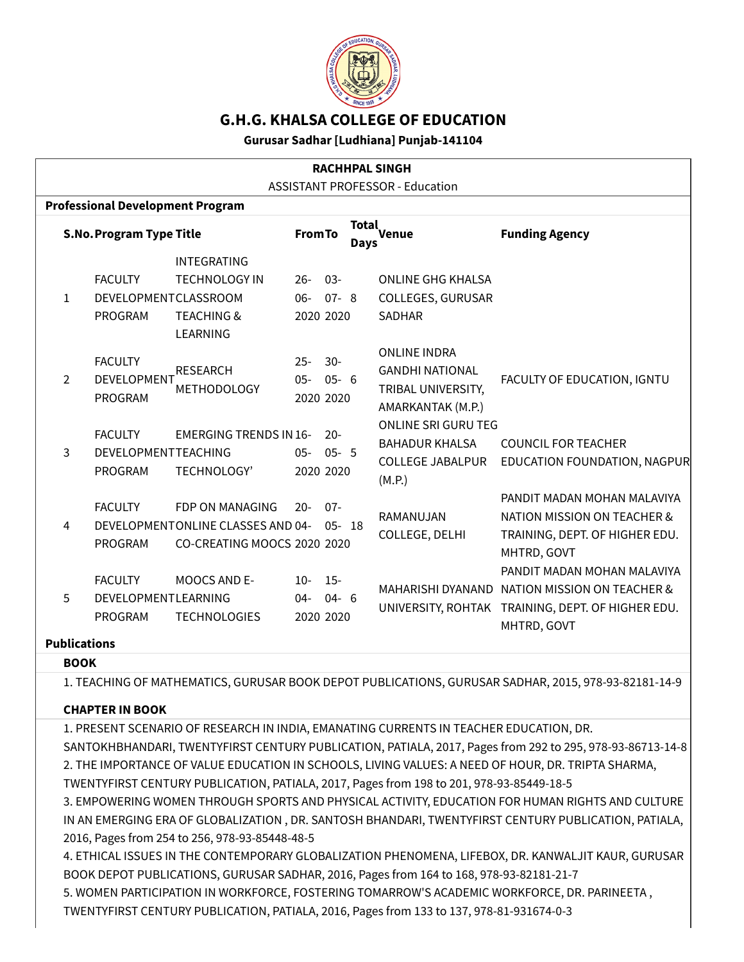

# **G.H.G. KHALSA COLLEGE OF EDUCATION**

**Gurusar Sadhar [Ludhiana] Punjab-141104**

| <b>RACHHPAL SINGH</b><br><b>ASSISTANT PROFESSOR - Education</b><br><b>Professional Development Program</b> |                                                        |                                                                                                   |                                 |                      |  |                                                                                          |                                                                                                                                                  |  |  |  |  |  |
|------------------------------------------------------------------------------------------------------------|--------------------------------------------------------|---------------------------------------------------------------------------------------------------|---------------------------------|----------------------|--|------------------------------------------------------------------------------------------|--------------------------------------------------------------------------------------------------------------------------------------------------|--|--|--|--|--|
|                                                                                                            |                                                        |                                                                                                   |                                 |                      |  |                                                                                          |                                                                                                                                                  |  |  |  |  |  |
| $\mathbf{1}$                                                                                               | <b>FACULTY</b><br>DEVELOPMENTCLASSROOM<br>PROGRAM      | <b>INTEGRATING</b><br><b>TECHNOLOGY IN</b><br><b>TEACHING &amp;</b>                               | $26-$<br>06- 07- 8<br>2020 2020 | $03 -$               |  | <b>ONLINE GHG KHALSA</b><br>COLLEGES, GURUSAR<br><b>SADHAR</b>                           |                                                                                                                                                  |  |  |  |  |  |
| $\mathcal{L}$                                                                                              | <b>FACULTY</b><br><b>DEVELOPMENT</b><br><b>PROGRAM</b> | <b>LEARNING</b><br><b>RESEARCH</b><br><b>METHODOLOGY</b>                                          | $25 -$<br>$05 -$<br>2020 2020   | $30-$<br>$05 - 6$    |  | <b>ONLINE INDRA</b><br><b>GANDHI NATIONAL</b><br>TRIBAL UNIVERSITY,<br>AMARKANTAK (M.P.) | FACULTY OF EDUCATION, IGNTU                                                                                                                      |  |  |  |  |  |
| 3                                                                                                          | <b>FACULTY</b><br>DEVELOPMENTTEACHING<br>PROGRAM       | <b>EMERGING TRENDS IN 16-</b><br>TECHNOLOGY'                                                      | $05 -$<br>2020 2020             | $20 -$<br>$05 - 5$   |  | <b>ONLINE SRI GURU TEG</b><br><b>BAHADUR KHALSA</b><br><b>COLLEGE JABALPUR</b><br>(M.P.) | <b>COUNCIL FOR TEACHER</b><br>EDUCATION FOUNDATION, NAGPUR                                                                                       |  |  |  |  |  |
| 4                                                                                                          | <b>FACULTY</b><br>PROGRAM                              | <b>FDP ON MANAGING</b><br><b>DEVELOPMENTONLINE CLASSES AND 04-</b><br>CO-CREATING MOOCS 2020 2020 | $20 -$                          | $07 -$<br>$0.5 - 18$ |  | RAMANUJAN<br>COLLEGE, DELHI                                                              | PANDIT MADAN MOHAN MALAVIYA<br><b>NATION MISSION ON TEACHER &amp;</b><br>TRAINING, DEPT. OF HIGHER EDU.<br>MHTRD, GOVT                           |  |  |  |  |  |
| 5<br><b>Publications</b>                                                                                   | <b>FACULTY</b><br>DEVELOPMENTLEARNING<br>PROGRAM       | <b>MOOCS AND E-</b><br><b>TECHNOLOGIES</b>                                                        | $10-$<br>$04 -$<br>2020 2020    | $15-$<br>$04 - 6$    |  |                                                                                          | PANDIT MADAN MOHAN MALAVIYA<br>MAHARISHI DYANAND NATION MISSION ON TEACHER &<br>UNIVERSITY, ROHTAK TRAINING, DEPT. OF HIGHER EDU.<br>MHTRD, GOVT |  |  |  |  |  |

#### **BOOK**

1. TEACHING OF MATHEMATICS, GURUSAR BOOK DEPOT PUBLICATIONS, GURUSAR SADHAR, 2015, 978-93-82181-14-9

#### **CHAPTER IN BOOK**

1. PRESENT SCENARIO OF RESEARCH IN INDIA, EMANATING CURRENTS IN TEACHER EDUCATION, DR. SANTOKHBHANDARI, TWENTYFIRST CENTURY PUBLICATION, PATIALA, 2017, Pages from 292 to 295, 978-93-86713-14-8 2. THE IMPORTANCE OF VALUE EDUCATION IN SCHOOLS, LIVING VALUES: A NEED OF HOUR, DR. TRIPTA SHARMA, TWENTYFIRST CENTURY PUBLICATION, PATIALA, 2017, Pages from 198 to 201, 978-93-85449-18-5 3. EMPOWERING WOMEN THROUGH SPORTS AND PHYSICAL ACTIVITY, EDUCATION FOR HUMAN RIGHTS AND CULTURE IN AN EMERGING ERA OF GLOBALIZATION , DR. SANTOSH BHANDARI, TWENTYFIRST CENTURY PUBLICATION, PATIALA, 2016, Pages from 254 to 256, 978-93-85448-48-5 4. ETHICAL ISSUES IN THE CONTEMPORARY GLOBALIZATION PHENOMENA, LIFEBOX, DR. KANWALJIT KAUR, GURUSAR BOOK DEPOT PUBLICATIONS, GURUSAR SADHAR, 2016, Pages from 164 to 168, 978-93-82181-21-7 5. WOMEN PARTICIPATION IN WORKFORCE, FOSTERING TOMARROW'S ACADEMIC WORKFORCE, DR. PARINEETA ,

TWENTYFIRST CENTURY PUBLICATION, PATIALA, 2016, Pages from 133 to 137, 978-81-931674-0-3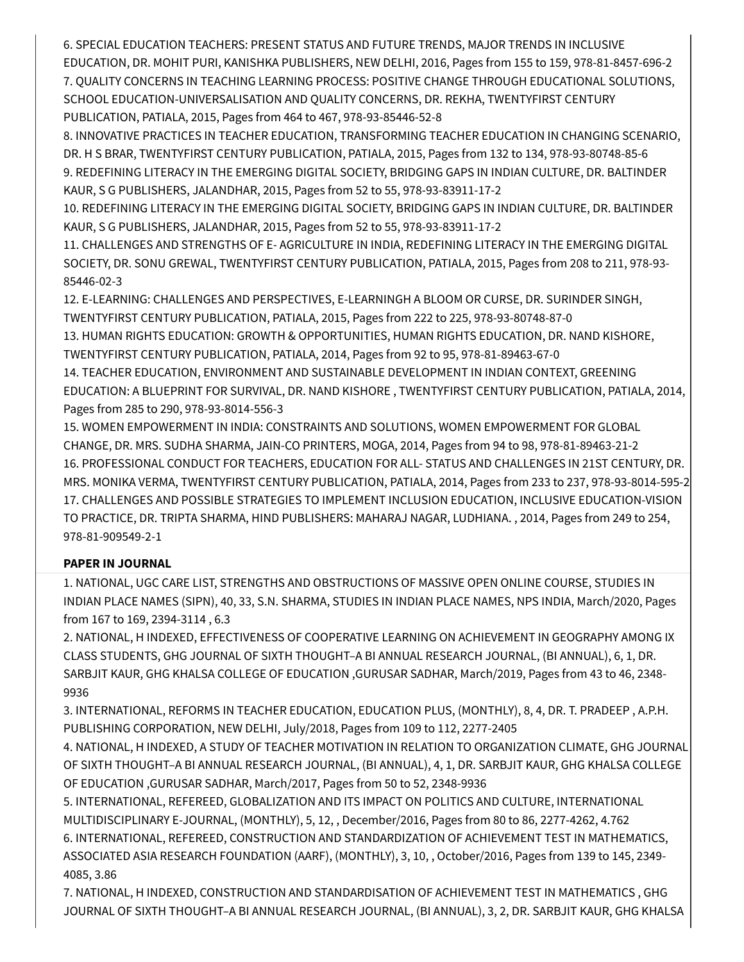6. SPECIAL EDUCATION TEACHERS: PRESENT STATUS AND FUTURE TRENDS, MAJOR TRENDS IN INCLUSIVE EDUCATION, DR. MOHIT PURI, KANISHKA PUBLISHERS, NEW DELHI, 2016, Pages from 155 to 159, 978-81-8457-696-2 7. QUALITY CONCERNS IN TEACHING LEARNING PROCESS: POSITIVE CHANGE THROUGH EDUCATIONAL SOLUTIONS, SCHOOL EDUCATION-UNIVERSALISATION AND QUALITY CONCERNS, DR. REKHA, TWENTYFIRST CENTURY PUBLICATION, PATIALA, 2015, Pages from 464 to 467, 978-93-85446-52-8

8. INNOVATIVE PRACTICES IN TEACHER EDUCATION, TRANSFORMING TEACHER EDUCATION IN CHANGING SCENARIO, DR. H S BRAR, TWENTYFIRST CENTURY PUBLICATION, PATIALA, 2015, Pages from 132 to 134, 978-93-80748-85-6 9. REDEFINING LITERACY IN THE EMERGING DIGITAL SOCIETY, BRIDGING GAPS IN INDIAN CULTURE, DR. BALTINDER KAUR, S G PUBLISHERS, JALANDHAR, 2015, Pages from 52 to 55, 978-93-83911-17-2

10. REDEFINING LITERACY IN THE EMERGING DIGITAL SOCIETY, BRIDGING GAPS IN INDIAN CULTURE, DR. BALTINDER KAUR, S G PUBLISHERS, JALANDHAR, 2015, Pages from 52 to 55, 978-93-83911-17-2

11. CHALLENGES AND STRENGTHS OF E- AGRICULTURE IN INDIA, REDEFINING LITERACY IN THE EMERGING DIGITAL SOCIETY, DR. SONU GREWAL, TWENTYFIRST CENTURY PUBLICATION, PATIALA, 2015, Pages from 208 to 211, 978-93- 85446-02-3

12. E-LEARNING: CHALLENGES AND PERSPECTIVES, E-LEARNINGH A BLOOM OR CURSE, DR. SURINDER SINGH, TWENTYFIRST CENTURY PUBLICATION, PATIALA, 2015, Pages from 222 to 225, 978-93-80748-87-0

13. HUMAN RIGHTS EDUCATION: GROWTH & OPPORTUNITIES, HUMAN RIGHTS EDUCATION, DR. NAND KISHORE, TWENTYFIRST CENTURY PUBLICATION, PATIALA, 2014, Pages from 92 to 95, 978-81-89463-67-0

14. TEACHER EDUCATION, ENVIRONMENT AND SUSTAINABLE DEVELOPMENT IN INDIAN CONTEXT, GREENING EDUCATION: A BLUEPRINT FOR SURVIVAL, DR. NAND KISHORE , TWENTYFIRST CENTURY PUBLICATION, PATIALA, 2014, Pages from 285 to 290, 978-93-8014-556-3

15. WOMEN EMPOWERMENT IN INDIA: CONSTRAINTS AND SOLUTIONS, WOMEN EMPOWERMENT FOR GLOBAL CHANGE, DR. MRS. SUDHA SHARMA, JAIN-CO PRINTERS, MOGA, 2014, Pages from 94 to 98, 978-81-89463-21-2 16. PROFESSIONAL CONDUCT FOR TEACHERS, EDUCATION FOR ALL- STATUS AND CHALLENGES IN 21ST CENTURY, DR. MRS. MONIKA VERMA, TWENTYFIRST CENTURY PUBLICATION, PATIALA, 2014, Pages from 233 to 237, 978-93-8014-595-2 17. CHALLENGES AND POSSIBLE STRATEGIES TO IMPLEMENT INCLUSION EDUCATION, INCLUSIVE EDUCATION-VISION TO PRACTICE, DR. TRIPTA SHARMA, HIND PUBLISHERS: MAHARAJ NAGAR, LUDHIANA. , 2014, Pages from 249 to 254, 978-81-909549-2-1

## **PAPER IN JOURNAL**

1. NATIONAL, UGC CARE LIST, STRENGTHS AND OBSTRUCTIONS OF MASSIVE OPEN ONLINE COURSE, STUDIES IN INDIAN PLACE NAMES (SIPN), 40, 33, S.N. SHARMA, STUDIES IN INDIAN PLACE NAMES, NPS INDIA, March/2020, Pages from 167 to 169, 2394-3114 , 6.3

2. NATIONAL, H INDEXED, EFFECTIVENESS OF COOPERATIVE LEARNING ON ACHIEVEMENT IN GEOGRAPHY AMONG IX CLASS STUDENTS, GHG JOURNAL OF SIXTH THOUGHT–A BI ANNUAL RESEARCH JOURNAL, (BI ANNUAL), 6, 1, DR. SARBJIT KAUR, GHG KHALSA COLLEGE OF EDUCATION ,GURUSAR SADHAR, March/2019, Pages from 43 to 46, 2348- 9936

3. INTERNATIONAL, REFORMS IN TEACHER EDUCATION, EDUCATION PLUS, (MONTHLY), 8, 4, DR. T. PRADEEP , A.P.H. PUBLISHING CORPORATION, NEW DELHI, July/2018, Pages from 109 to 112, 2277-2405

4. NATIONAL, H INDEXED, A STUDY OF TEACHER MOTIVATION IN RELATION TO ORGANIZATION CLIMATE, GHG JOURNAL OF SIXTH THOUGHT–A BI ANNUAL RESEARCH JOURNAL, (BI ANNUAL), 4, 1, DR. SARBJIT KAUR, GHG KHALSA COLLEGE OF EDUCATION ,GURUSAR SADHAR, March/2017, Pages from 50 to 52, 2348-9936

5. INTERNATIONAL, REFEREED, GLOBALIZATION AND ITS IMPACT ON POLITICS AND CULTURE, INTERNATIONAL MULTIDISCIPLINARY E-JOURNAL, (MONTHLY), 5, 12, , December/2016, Pages from 80 to 86, 2277-4262, 4.762 6. INTERNATIONAL, REFEREED, CONSTRUCTION AND STANDARDIZATION OF ACHIEVEMENT TEST IN MATHEMATICS, ASSOCIATED ASIA RESEARCH FOUNDATION (AARF), (MONTHLY), 3, 10, , October/2016, Pages from 139 to 145, 2349- 4085, 3.86

7. NATIONAL, H INDEXED, CONSTRUCTION AND STANDARDISATION OF ACHIEVEMENT TEST IN MATHEMATICS , GHG JOURNAL OF SIXTH THOUGHT–A BI ANNUAL RESEARCH JOURNAL, (BI ANNUAL), 3, 2, DR. SARBJIT KAUR, GHG KHALSA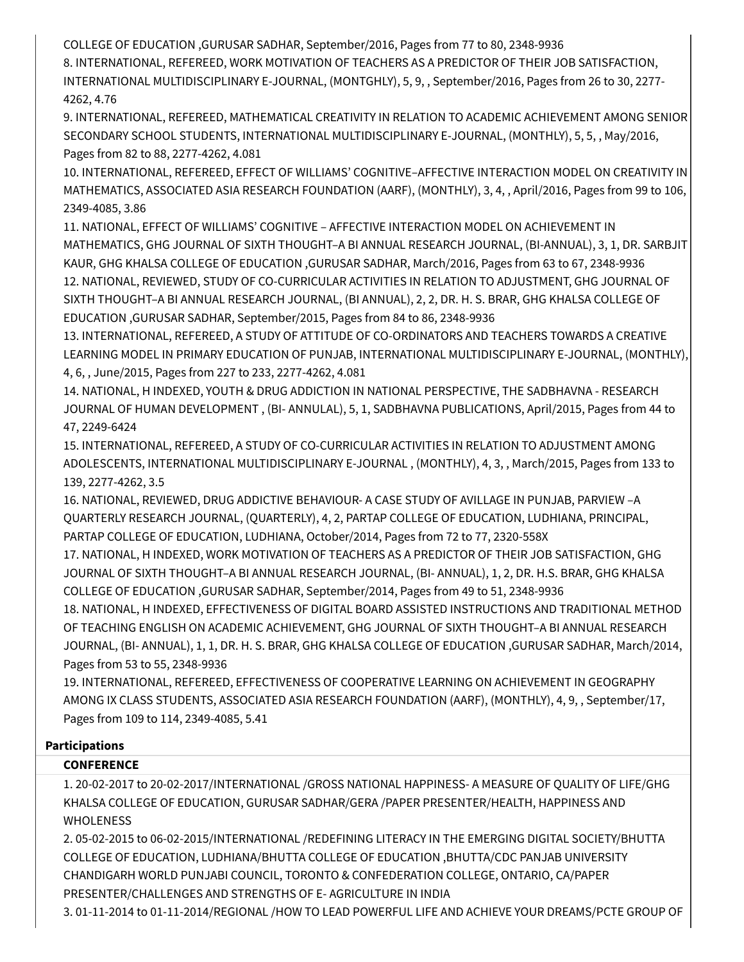COLLEGE OF EDUCATION ,GURUSAR SADHAR, September/2016, Pages from 77 to 80, 2348-9936

8. INTERNATIONAL, REFEREED, WORK MOTIVATION OF TEACHERS AS A PREDICTOR OF THEIR JOB SATISFACTION, INTERNATIONAL MULTIDISCIPLINARY E-JOURNAL, (MONTGHLY), 5, 9, , September/2016, Pages from 26 to 30, 2277- 4262, 4.76

9. INTERNATIONAL, REFEREED, MATHEMATICAL CREATIVITY IN RELATION TO ACADEMIC ACHIEVEMENT AMONG SENIOR SECONDARY SCHOOL STUDENTS, INTERNATIONAL MULTIDISCIPLINARY E-JOURNAL, (MONTHLY), 5, 5, , May/2016, Pages from 82 to 88, 2277-4262, 4.081

10. INTERNATIONAL, REFEREED, EFFECT OF WILLIAMS' COGNITIVE–AFFECTIVE INTERACTION MODEL ON CREATIVITY IN MATHEMATICS, ASSOCIATED ASIA RESEARCH FOUNDATION (AARF), (MONTHLY), 3, 4, , April/2016, Pages from 99 to 106, 2349-4085, 3.86

11. NATIONAL, EFFECT OF WILLIAMS' COGNITIVE – AFFECTIVE INTERACTION MODEL ON ACHIEVEMENT IN MATHEMATICS, GHG JOURNAL OF SIXTH THOUGHT–A BI ANNUAL RESEARCH JOURNAL, (BI-ANNUAL), 3, 1, DR. SARBJIT KAUR, GHG KHALSA COLLEGE OF EDUCATION ,GURUSAR SADHAR, March/2016, Pages from 63 to 67, 2348-9936 12. NATIONAL, REVIEWED, STUDY OF CO-CURRICULAR ACTIVITIES IN RELATION TO ADJUSTMENT, GHG JOURNAL OF SIXTH THOUGHT–A BI ANNUAL RESEARCH JOURNAL, (BI ANNUAL), 2, 2, DR. H. S. BRAR, GHG KHALSA COLLEGE OF EDUCATION ,GURUSAR SADHAR, September/2015, Pages from 84 to 86, 2348-9936

13. INTERNATIONAL, REFEREED, A STUDY OF ATTITUDE OF CO-ORDINATORS AND TEACHERS TOWARDS A CREATIVE LEARNING MODEL IN PRIMARY EDUCATION OF PUNJAB, INTERNATIONAL MULTIDISCIPLINARY E-JOURNAL, (MONTHLY), 4, 6, , June/2015, Pages from 227 to 233, 2277-4262, 4.081

14. NATIONAL, H INDEXED, YOUTH & DRUG ADDICTION IN NATIONAL PERSPECTIVE, THE SADBHAVNA - RESEARCH JOURNAL OF HUMAN DEVELOPMENT , (BI- ANNULAL), 5, 1, SADBHAVNA PUBLICATIONS, April/2015, Pages from 44 to 47, 2249-6424

15. INTERNATIONAL, REFEREED, A STUDY OF CO-CURRICULAR ACTIVITIES IN RELATION TO ADJUSTMENT AMONG ADOLESCENTS, INTERNATIONAL MULTIDISCIPLINARY E-JOURNAL , (MONTHLY), 4, 3, , March/2015, Pages from 133 to 139, 2277-4262, 3.5

16. NATIONAL, REVIEWED, DRUG ADDICTIVE BEHAVIOUR- A CASE STUDY OF AVILLAGE IN PUNJAB, PARVIEW –A QUARTERLY RESEARCH JOURNAL, (QUARTERLY), 4, 2, PARTAP COLLEGE OF EDUCATION, LUDHIANA, PRINCIPAL, PARTAP COLLEGE OF EDUCATION, LUDHIANA, October/2014, Pages from 72 to 77, 2320-558X

17. NATIONAL, H INDEXED, WORK MOTIVATION OF TEACHERS AS A PREDICTOR OF THEIR JOB SATISFACTION, GHG JOURNAL OF SIXTH THOUGHT–A BI ANNUAL RESEARCH JOURNAL, (BI- ANNUAL), 1, 2, DR. H.S. BRAR, GHG KHALSA COLLEGE OF EDUCATION ,GURUSAR SADHAR, September/2014, Pages from 49 to 51, 2348-9936

18. NATIONAL, H INDEXED, EFFECTIVENESS OF DIGITAL BOARD ASSISTED INSTRUCTIONS AND TRADITIONAL METHOD OF TEACHING ENGLISH ON ACADEMIC ACHIEVEMENT, GHG JOURNAL OF SIXTH THOUGHT–A BI ANNUAL RESEARCH JOURNAL, (BI- ANNUAL), 1, 1, DR. H. S. BRAR, GHG KHALSA COLLEGE OF EDUCATION ,GURUSAR SADHAR, March/2014, Pages from 53 to 55, 2348-9936

19. INTERNATIONAL, REFEREED, EFFECTIVENESS OF COOPERATIVE LEARNING ON ACHIEVEMENT IN GEOGRAPHY AMONG IX CLASS STUDENTS, ASSOCIATED ASIA RESEARCH FOUNDATION (AARF), (MONTHLY), 4, 9, , September/17, Pages from 109 to 114, 2349-4085, 5.41

### **Participations**

## **CONFERENCE**

1. 20-02-2017 to 20-02-2017/INTERNATIONAL /GROSS NATIONAL HAPPINESS- A MEASURE OF QUALITY OF LIFE/GHG KHALSA COLLEGE OF EDUCATION, GURUSAR SADHAR/GERA /PAPER PRESENTER/HEALTH, HAPPINESS AND WHOLENESS

2. 05-02-2015 to 06-02-2015/INTERNATIONAL /REDEFINING LITERACY IN THE EMERGING DIGITAL SOCIETY/BHUTTA COLLEGE OF EDUCATION, LUDHIANA/BHUTTA COLLEGE OF EDUCATION ,BHUTTA/CDC PANJAB UNIVERSITY CHANDIGARH WORLD PUNJABI COUNCIL, TORONTO & CONFEDERATION COLLEGE, ONTARIO, CA/PAPER PRESENTER/CHALLENGES AND STRENGTHS OF E- AGRICULTURE IN INDIA

3. 01-11-2014 to 01-11-2014/REGIONAL /HOW TO LEAD POWERFUL LIFE AND ACHIEVE YOUR DREAMS/PCTE GROUP OF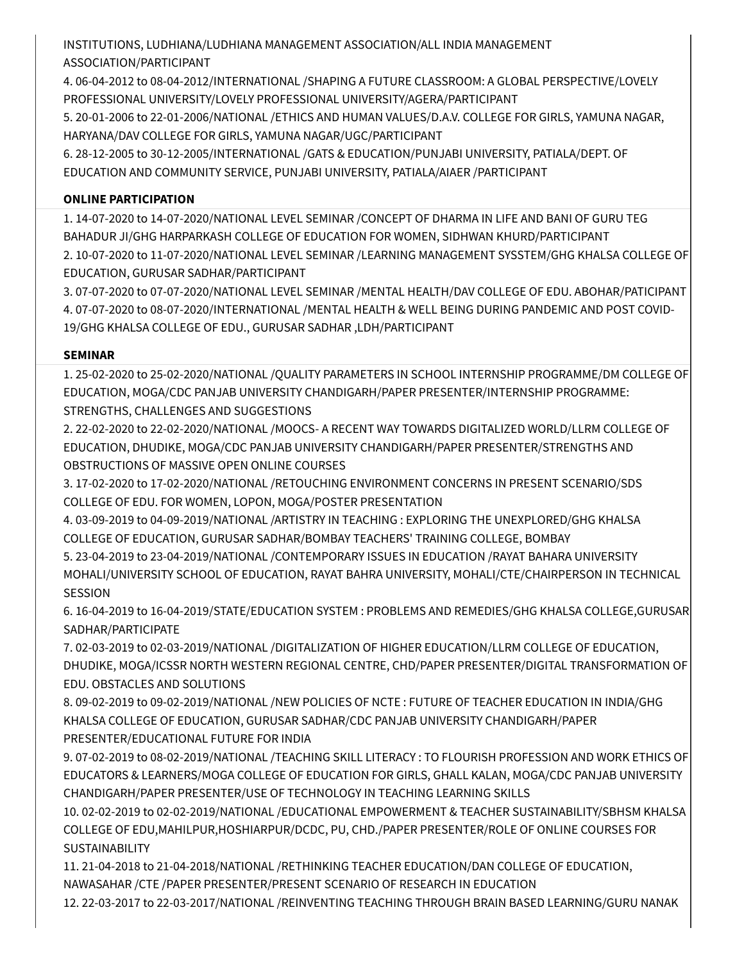INSTITUTIONS, LUDHIANA/LUDHIANA MANAGEMENT ASSOCIATION/ALL INDIA MANAGEMENT ASSOCIATION/PARTICIPANT

4. 06-04-2012 to 08-04-2012/INTERNATIONAL /SHAPING A FUTURE CLASSROOM: A GLOBAL PERSPECTIVE/LOVELY PROFESSIONAL UNIVERSITY/LOVELY PROFESSIONAL UNIVERSITY/AGERA/PARTICIPANT

5. 20-01-2006 to 22-01-2006/NATIONAL /ETHICS AND HUMAN VALUES/D.A.V. COLLEGE FOR GIRLS, YAMUNA NAGAR, HARYANA/DAV COLLEGE FOR GIRLS, YAMUNA NAGAR/UGC/PARTICIPANT

6. 28-12-2005 to 30-12-2005/INTERNATIONAL /GATS & EDUCATION/PUNJABI UNIVERSITY, PATIALA/DEPT. OF EDUCATION AND COMMUNITY SERVICE, PUNJABI UNIVERSITY, PATIALA/AIAER /PARTICIPANT

## **ONLINE PARTICIPATION**

1. 14-07-2020 to 14-07-2020/NATIONAL LEVEL SEMINAR /CONCEPT OF DHARMA IN LIFE AND BANI OF GURU TEG BAHADUR JI/GHG HARPARKASH COLLEGE OF EDUCATION FOR WOMEN, SIDHWAN KHURD/PARTICIPANT 2. 10-07-2020 to 11-07-2020/NATIONAL LEVEL SEMINAR /LEARNING MANAGEMENT SYSSTEM/GHG KHALSA COLLEGE OF EDUCATION, GURUSAR SADHAR/PARTICIPANT

3. 07-07-2020 to 07-07-2020/NATIONAL LEVEL SEMINAR /MENTAL HEALTH/DAV COLLEGE OF EDU. ABOHAR/PATICIPANT 4. 07-07-2020 to 08-07-2020/INTERNATIONAL /MENTAL HEALTH & WELL BEING DURING PANDEMIC AND POST COVID-19/GHG KHALSA COLLEGE OF EDU., GURUSAR SADHAR ,LDH/PARTICIPANT

## **SEMINAR**

1. 25-02-2020 to 25-02-2020/NATIONAL /QUALITY PARAMETERS IN SCHOOL INTERNSHIP PROGRAMME/DM COLLEGE OF EDUCATION, MOGA/CDC PANJAB UNIVERSITY CHANDIGARH/PAPER PRESENTER/INTERNSHIP PROGRAMME: STRENGTHS, CHALLENGES AND SUGGESTIONS

2. 22-02-2020 to 22-02-2020/NATIONAL /MOOCS- A RECENT WAY TOWARDS DIGITALIZED WORLD/LLRM COLLEGE OF EDUCATION, DHUDIKE, MOGA/CDC PANJAB UNIVERSITY CHANDIGARH/PAPER PRESENTER/STRENGTHS AND OBSTRUCTIONS OF MASSIVE OPEN ONLINE COURSES

3. 17-02-2020 to 17-02-2020/NATIONAL /RETOUCHING ENVIRONMENT CONCERNS IN PRESENT SCENARIO/SDS COLLEGE OF EDU. FOR WOMEN, LOPON, MOGA/POSTER PRESENTATION

4. 03-09-2019 to 04-09-2019/NATIONAL /ARTISTRY IN TEACHING : EXPLORING THE UNEXPLORED/GHG KHALSA COLLEGE OF EDUCATION, GURUSAR SADHAR/BOMBAY TEACHERS' TRAINING COLLEGE, BOMBAY

5. 23-04-2019 to 23-04-2019/NATIONAL /CONTEMPORARY ISSUES IN EDUCATION /RAYAT BAHARA UNIVERSITY MOHALI/UNIVERSITY SCHOOL OF EDUCATION, RAYAT BAHRA UNIVERSITY, MOHALI/CTE/CHAIRPERSON IN TECHNICAL SESSION

6. 16-04-2019 to 16-04-2019/STATE/EDUCATION SYSTEM : PROBLEMS AND REMEDIES/GHG KHALSA COLLEGE,GURUSAR SADHAR/PARTICIPATE

7. 02-03-2019 to 02-03-2019/NATIONAL /DIGITALIZATION OF HIGHER EDUCATION/LLRM COLLEGE OF EDUCATION, DHUDIKE, MOGA/ICSSR NORTH WESTERN REGIONAL CENTRE, CHD/PAPER PRESENTER/DIGITAL TRANSFORMATION OF EDU. OBSTACLES AND SOLUTIONS

8. 09-02-2019 to 09-02-2019/NATIONAL /NEW POLICIES OF NCTE : FUTURE OF TEACHER EDUCATION IN INDIA/GHG KHALSA COLLEGE OF EDUCATION, GURUSAR SADHAR/CDC PANJAB UNIVERSITY CHANDIGARH/PAPER PRESENTER/EDUCATIONAL FUTURE FOR INDIA

9. 07-02-2019 to 08-02-2019/NATIONAL /TEACHING SKILL LITERACY : TO FLOURISH PROFESSION AND WORK ETHICS OF EDUCATORS & LEARNERS/MOGA COLLEGE OF EDUCATION FOR GIRLS, GHALL KALAN, MOGA/CDC PANJAB UNIVERSITY CHANDIGARH/PAPER PRESENTER/USE OF TECHNOLOGY IN TEACHING LEARNING SKILLS

10. 02-02-2019 to 02-02-2019/NATIONAL /EDUCATIONAL EMPOWERMENT & TEACHER SUSTAINABILITY/SBHSM KHALSA COLLEGE OF EDU,MAHILPUR,HOSHIARPUR/DCDC, PU, CHD./PAPER PRESENTER/ROLE OF ONLINE COURSES FOR SUSTAINABILITY

11. 21-04-2018 to 21-04-2018/NATIONAL /RETHINKING TEACHER EDUCATION/DAN COLLEGE OF EDUCATION, NAWASAHAR /CTE /PAPER PRESENTER/PRESENT SCENARIO OF RESEARCH IN EDUCATION

12. 22-03-2017 to 22-03-2017/NATIONAL /REINVENTING TEACHING THROUGH BRAIN BASED LEARNING/GURU NANAK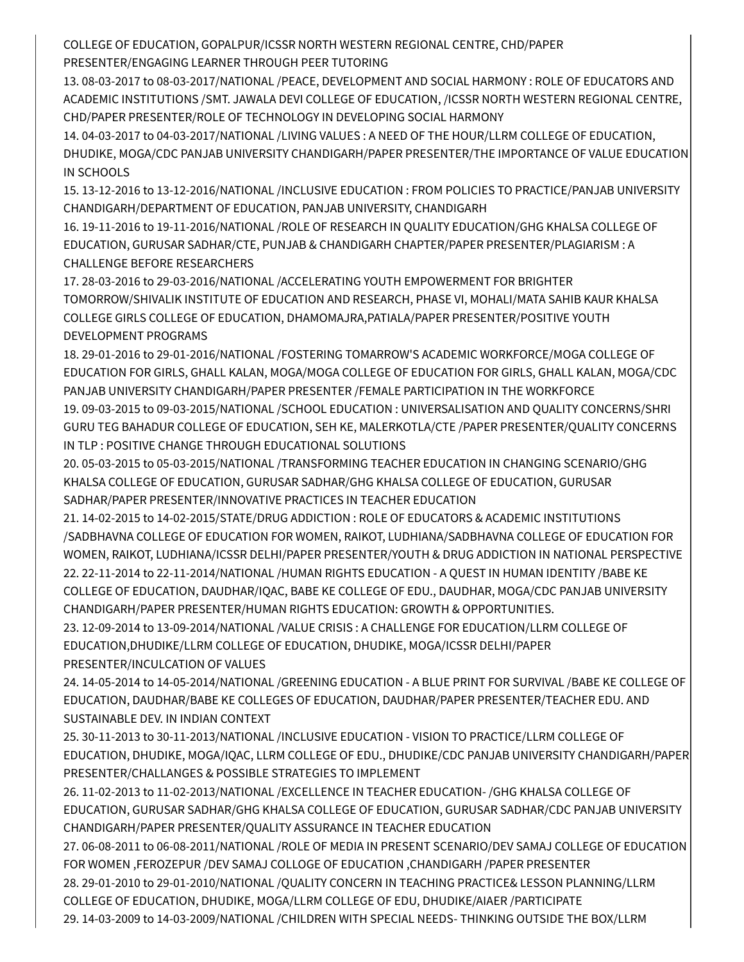COLLEGE OF EDUCATION, GOPALPUR/ICSSR NORTH WESTERN REGIONAL CENTRE, CHD/PAPER PRESENTER/ENGAGING LEARNER THROUGH PEER TUTORING

13. 08-03-2017 to 08-03-2017/NATIONAL /PEACE, DEVELOPMENT AND SOCIAL HARMONY : ROLE OF EDUCATORS AND ACADEMIC INSTITUTIONS /SMT. JAWALA DEVI COLLEGE OF EDUCATION, /ICSSR NORTH WESTERN REGIONAL CENTRE, CHD/PAPER PRESENTER/ROLE OF TECHNOLOGY IN DEVELOPING SOCIAL HARMONY

14. 04-03-2017 to 04-03-2017/NATIONAL /LIVING VALUES : A NEED OF THE HOUR/LLRM COLLEGE OF EDUCATION, DHUDIKE, MOGA/CDC PANJAB UNIVERSITY CHANDIGARH/PAPER PRESENTER/THE IMPORTANCE OF VALUE EDUCATION IN SCHOOLS

15. 13-12-2016 to 13-12-2016/NATIONAL /INCLUSIVE EDUCATION : FROM POLICIES TO PRACTICE/PANJAB UNIVERSITY CHANDIGARH/DEPARTMENT OF EDUCATION, PANJAB UNIVERSITY, CHANDIGARH

16. 19-11-2016 to 19-11-2016/NATIONAL /ROLE OF RESEARCH IN QUALITY EDUCATION/GHG KHALSA COLLEGE OF EDUCATION, GURUSAR SADHAR/CTE, PUNJAB & CHANDIGARH CHAPTER/PAPER PRESENTER/PLAGIARISM : A CHALLENGE BEFORE RESEARCHERS

17. 28-03-2016 to 29-03-2016/NATIONAL /ACCELERATING YOUTH EMPOWERMENT FOR BRIGHTER TOMORROW/SHIVALIK INSTITUTE OF EDUCATION AND RESEARCH, PHASE VI, MOHALI/MATA SAHIB KAUR KHALSA COLLEGE GIRLS COLLEGE OF EDUCATION, DHAMOMAJRA,PATIALA/PAPER PRESENTER/POSITIVE YOUTH DEVELOPMENT PROGRAMS

18. 29-01-2016 to 29-01-2016/NATIONAL /FOSTERING TOMARROW'S ACADEMIC WORKFORCE/MOGA COLLEGE OF EDUCATION FOR GIRLS, GHALL KALAN, MOGA/MOGA COLLEGE OF EDUCATION FOR GIRLS, GHALL KALAN, MOGA/CDC PANJAB UNIVERSITY CHANDIGARH/PAPER PRESENTER /FEMALE PARTICIPATION IN THE WORKFORCE 19. 09-03-2015 to 09-03-2015/NATIONAL /SCHOOL EDUCATION : UNIVERSALISATION AND QUALITY CONCERNS/SHRI GURU TEG BAHADUR COLLEGE OF EDUCATION, SEH KE, MALERKOTLA/CTE /PAPER PRESENTER/QUALITY CONCERNS IN TLP : POSITIVE CHANGE THROUGH EDUCATIONAL SOLUTIONS

20. 05-03-2015 to 05-03-2015/NATIONAL /TRANSFORMING TEACHER EDUCATION IN CHANGING SCENARIO/GHG KHALSA COLLEGE OF EDUCATION, GURUSAR SADHAR/GHG KHALSA COLLEGE OF EDUCATION, GURUSAR SADHAR/PAPER PRESENTER/INNOVATIVE PRACTICES IN TEACHER EDUCATION

21. 14-02-2015 to 14-02-2015/STATE/DRUG ADDICTION : ROLE OF EDUCATORS & ACADEMIC INSTITUTIONS /SADBHAVNA COLLEGE OF EDUCATION FOR WOMEN, RAIKOT, LUDHIANA/SADBHAVNA COLLEGE OF EDUCATION FOR WOMEN, RAIKOT, LUDHIANA/ICSSR DELHI/PAPER PRESENTER/YOUTH & DRUG ADDICTION IN NATIONAL PERSPECTIVE 22. 22-11-2014 to 22-11-2014/NATIONAL /HUMAN RIGHTS EDUCATION - A QUEST IN HUMAN IDENTITY /BABE KE COLLEGE OF EDUCATION, DAUDHAR/IQAC, BABE KE COLLEGE OF EDU., DAUDHAR, MOGA/CDC PANJAB UNIVERSITY CHANDIGARH/PAPER PRESENTER/HUMAN RIGHTS EDUCATION: GROWTH & OPPORTUNITIES.

23. 12-09-2014 to 13-09-2014/NATIONAL /VALUE CRISIS : A CHALLENGE FOR EDUCATION/LLRM COLLEGE OF EDUCATION,DHUDIKE/LLRM COLLEGE OF EDUCATION, DHUDIKE, MOGA/ICSSR DELHI/PAPER PRESENTER/INCULCATION OF VALUES

24. 14-05-2014 to 14-05-2014/NATIONAL /GREENING EDUCATION - A BLUE PRINT FOR SURVIVAL /BABE KE COLLEGE OF EDUCATION, DAUDHAR/BABE KE COLLEGES OF EDUCATION, DAUDHAR/PAPER PRESENTER/TEACHER EDU. AND SUSTAINABLE DEV. IN INDIAN CONTEXT

25. 30-11-2013 to 30-11-2013/NATIONAL /INCLUSIVE EDUCATION - VISION TO PRACTICE/LLRM COLLEGE OF EDUCATION, DHUDIKE, MOGA/IQAC, LLRM COLLEGE OF EDU., DHUDIKE/CDC PANJAB UNIVERSITY CHANDIGARH/PAPER PRESENTER/CHALLANGES & POSSIBLE STRATEGIES TO IMPLEMENT

26. 11-02-2013 to 11-02-2013/NATIONAL /EXCELLENCE IN TEACHER EDUCATION- /GHG KHALSA COLLEGE OF EDUCATION, GURUSAR SADHAR/GHG KHALSA COLLEGE OF EDUCATION, GURUSAR SADHAR/CDC PANJAB UNIVERSITY CHANDIGARH/PAPER PRESENTER/QUALITY ASSURANCE IN TEACHER EDUCATION

27. 06-08-2011 to 06-08-2011/NATIONAL /ROLE OF MEDIA IN PRESENT SCENARIO/DEV SAMAJ COLLEGE OF EDUCATION FOR WOMEN ,FEROZEPUR /DEV SAMAJ COLLOGE OF EDUCATION ,CHANDIGARH /PAPER PRESENTER

28. 29-01-2010 to 29-01-2010/NATIONAL /QUALITY CONCERN IN TEACHING PRACTICE& LESSON PLANNING/LLRM COLLEGE OF EDUCATION, DHUDIKE, MOGA/LLRM COLLEGE OF EDU, DHUDIKE/AIAER /PARTICIPATE

29. 14-03-2009 to 14-03-2009/NATIONAL /CHILDREN WITH SPECIAL NEEDS- THINKING OUTSIDE THE BOX/LLRM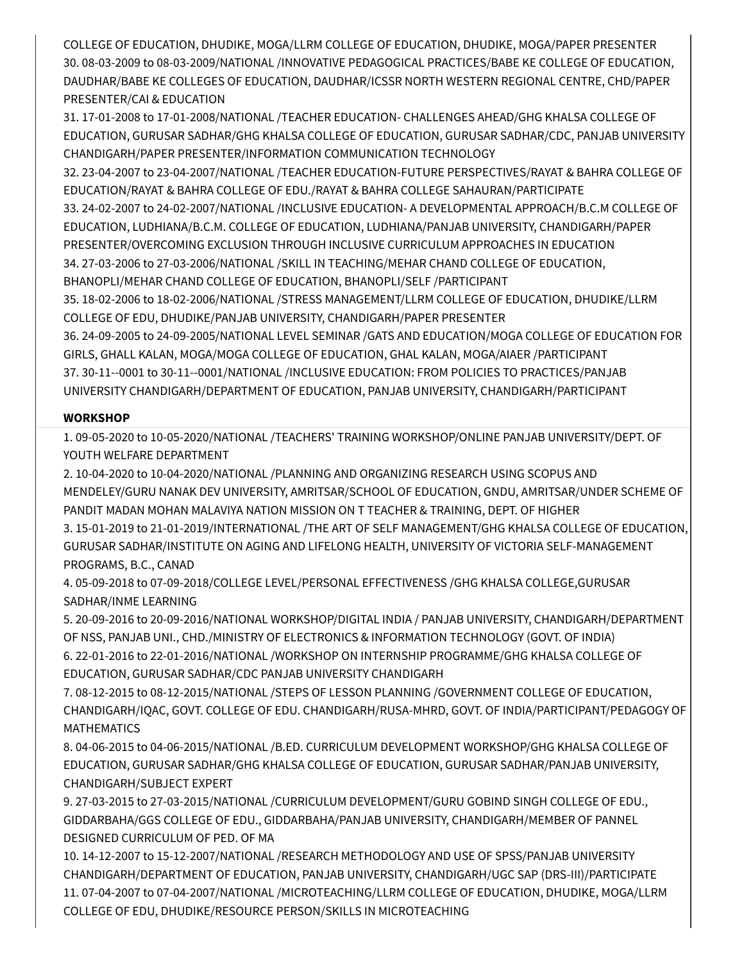COLLEGE OF EDUCATION, DHUDIKE, MOGA/LLRM COLLEGE OF EDUCATION, DHUDIKE, MOGA/PAPER PRESENTER 30. 08-03-2009 to 08-03-2009/NATIONAL /INNOVATIVE PEDAGOGICAL PRACTICES/BABE KE COLLEGE OF EDUCATION, DAUDHAR/BABE KE COLLEGES OF EDUCATION, DAUDHAR/ICSSR NORTH WESTERN REGIONAL CENTRE, CHD/PAPER PRESENTER/CAI & EDUCATION

31. 17-01-2008 to 17-01-2008/NATIONAL /TEACHER EDUCATION- CHALLENGES AHEAD/GHG KHALSA COLLEGE OF EDUCATION, GURUSAR SADHAR/GHG KHALSA COLLEGE OF EDUCATION, GURUSAR SADHAR/CDC, PANJAB UNIVERSITY CHANDIGARH/PAPER PRESENTER/INFORMATION COMMUNICATION TECHNOLOGY

32. 23-04-2007 to 23-04-2007/NATIONAL /TEACHER EDUCATION-FUTURE PERSPECTIVES/RAYAT & BAHRA COLLEGE OF EDUCATION/RAYAT & BAHRA COLLEGE OF EDU./RAYAT & BAHRA COLLEGE SAHAURAN/PARTICIPATE 33. 24-02-2007 to 24-02-2007/NATIONAL /INCLUSIVE EDUCATION- A DEVELOPMENTAL APPROACH/B.C.M COLLEGE OF EDUCATION, LUDHIANA/B.C.M. COLLEGE OF EDUCATION, LUDHIANA/PANJAB UNIVERSITY, CHANDIGARH/PAPER PRESENTER/OVERCOMING EXCLUSION THROUGH INCLUSIVE CURRICULUM APPROACHES IN EDUCATION 34. 27-03-2006 to 27-03-2006/NATIONAL /SKILL IN TEACHING/MEHAR CHAND COLLEGE OF EDUCATION, BHANOPLI/MEHAR CHAND COLLEGE OF EDUCATION, BHANOPLI/SELF /PARTICIPANT 35. 18-02-2006 to 18-02-2006/NATIONAL /STRESS MANAGEMENT/LLRM COLLEGE OF EDUCATION, DHUDIKE/LLRM COLLEGE OF EDU, DHUDIKE/PANJAB UNIVERSITY, CHANDIGARH/PAPER PRESENTER 36. 24-09-2005 to 24-09-2005/NATIONAL LEVEL SEMINAR /GATS AND EDUCATION/MOGA COLLEGE OF EDUCATION FOR GIRLS, GHALL KALAN, MOGA/MOGA COLLEGE OF EDUCATION, GHAL KALAN, MOGA/AIAER /PARTICIPANT 37. 30-11--0001 to 30-11--0001/NATIONAL /INCLUSIVE EDUCATION: FROM POLICIES TO PRACTICES/PANJAB

UNIVERSITY CHANDIGARH/DEPARTMENT OF EDUCATION, PANJAB UNIVERSITY, CHANDIGARH/PARTICIPANT

### **WORKSHOP**

1. 09-05-2020 to 10-05-2020/NATIONAL /TEACHERS' TRAINING WORKSHOP/ONLINE PANJAB UNIVERSITY/DEPT. OF YOUTH WELFARE DEPARTMENT

2. 10-04-2020 to 10-04-2020/NATIONAL /PLANNING AND ORGANIZING RESEARCH USING SCOPUS AND MENDELEY/GURU NANAK DEV UNIVERSITY, AMRITSAR/SCHOOL OF EDUCATION, GNDU, AMRITSAR/UNDER SCHEME OF PANDIT MADAN MOHAN MALAVIYA NATION MISSION ON T TEACHER & TRAINING, DEPT. OF HIGHER

3. 15-01-2019 to 21-01-2019/INTERNATIONAL /THE ART OF SELF MANAGEMENT/GHG KHALSA COLLEGE OF EDUCATION, GURUSAR SADHAR/INSTITUTE ON AGING AND LIFELONG HEALTH, UNIVERSITY OF VICTORIA SELF-MANAGEMENT PROGRAMS, B.C., CANAD

4. 05-09-2018 to 07-09-2018/COLLEGE LEVEL/PERSONAL EFFECTIVENESS /GHG KHALSA COLLEGE,GURUSAR SADHAR/INME LEARNING

5. 20-09-2016 to 20-09-2016/NATIONAL WORKSHOP/DIGITAL INDIA / PANJAB UNIVERSITY, CHANDIGARH/DEPARTMENT OF NSS, PANJAB UNI., CHD./MINISTRY OF ELECTRONICS & INFORMATION TECHNOLOGY (GOVT. OF INDIA) 6. 22-01-2016 to 22-01-2016/NATIONAL /WORKSHOP ON INTERNSHIP PROGRAMME/GHG KHALSA COLLEGE OF EDUCATION, GURUSAR SADHAR/CDC PANJAB UNIVERSITY CHANDIGARH

7. 08-12-2015 to 08-12-2015/NATIONAL /STEPS OF LESSON PLANNING /GOVERNMENT COLLEGE OF EDUCATION, CHANDIGARH/IQAC, GOVT. COLLEGE OF EDU. CHANDIGARH/RUSA-MHRD, GOVT. OF INDIA/PARTICIPANT/PEDAGOGY OF MATHEMATICS

8. 04-06-2015 to 04-06-2015/NATIONAL /B.ED. CURRICULUM DEVELOPMENT WORKSHOP/GHG KHALSA COLLEGE OF EDUCATION, GURUSAR SADHAR/GHG KHALSA COLLEGE OF EDUCATION, GURUSAR SADHAR/PANJAB UNIVERSITY, CHANDIGARH/SUBJECT EXPERT

9. 27-03-2015 to 27-03-2015/NATIONAL /CURRICULUM DEVELOPMENT/GURU GOBIND SINGH COLLEGE OF EDU., GIDDARBAHA/GGS COLLEGE OF EDU., GIDDARBAHA/PANJAB UNIVERSITY, CHANDIGARH/MEMBER OF PANNEL DESIGNED CURRICULUM OF PED. OF MA

10. 14-12-2007 to 15-12-2007/NATIONAL /RESEARCH METHODOLOGY AND USE OF SPSS/PANJAB UNIVERSITY CHANDIGARH/DEPARTMENT OF EDUCATION, PANJAB UNIVERSITY, CHANDIGARH/UGC SAP (DRS-III)/PARTICIPATE 11. 07-04-2007 to 07-04-2007/NATIONAL /MICROTEACHING/LLRM COLLEGE OF EDUCATION, DHUDIKE, MOGA/LLRM COLLEGE OF EDU, DHUDIKE/RESOURCE PERSON/SKILLS IN MICROTEACHING